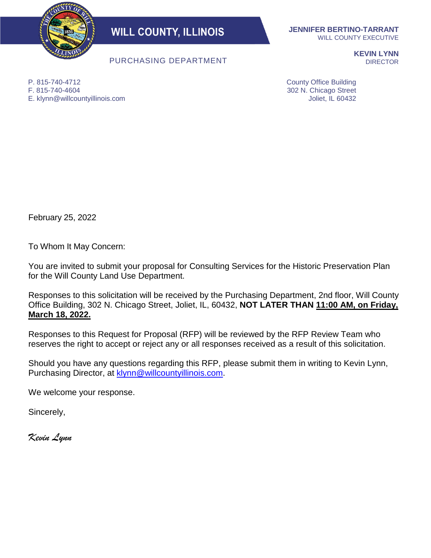

**WILL COUNTY, ILLINOIS** 

PURCHASING DEPARTMENT

**JENNIFER BERTINO-TARRANT** WILL COUNTY EXECUTIVE

> **KEVIN LYNN DIRECTOR**

P. 815-740-4712 F. 815-740-4604 E. klynn@willcountyillinois.com County Office Building 302 N. Chicago Street Joliet, IL 60432

February 25, 2022

To Whom It May Concern:

You are invited to submit your proposal for Consulting Services for the Historic Preservation Plan for the Will County Land Use Department.

Responses to this solicitation will be received by the Purchasing Department, 2nd floor, Will County Office Building, 302 N. Chicago Street, Joliet, IL, 60432, **NOT LATER THAN 11:00 AM, on Friday, March 18, 2022.**

Responses to this Request for Proposal (RFP) will be reviewed by the RFP Review Team who reserves the right to accept or reject any or all responses received as a result of this solicitation.

Should you have any questions regarding this RFP, please submit them in writing to Kevin Lynn, Purchasing Director, at [klynn@willcountyillinois.com.](mailto:klynn@willcountyillinois.com)

We welcome your response.

Sincerely,

*Kevin Lynn*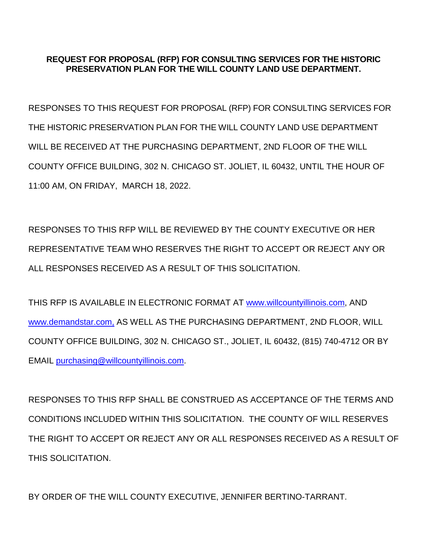### **REQUEST FOR PROPOSAL (RFP) FOR CONSULTING SERVICES FOR THE HISTORIC PRESERVATION PLAN FOR THE WILL COUNTY LAND USE DEPARTMENT.**

RESPONSES TO THIS REQUEST FOR PROPOSAL (RFP) FOR CONSULTING SERVICES FOR THE HISTORIC PRESERVATION PLAN FOR THE WILL COUNTY LAND USE DEPARTMENT WILL BE RECEIVED AT THE PURCHASING DEPARTMENT, 2ND FLOOR OF THE WILL COUNTY OFFICE BUILDING, 302 N. CHICAGO ST. JOLIET, IL 60432, UNTIL THE HOUR OF 11:00 AM, ON FRIDAY, MARCH 18, 2022.

RESPONSES TO THIS RFP WILL BE REVIEWED BY THE COUNTY EXECUTIVE OR HER REPRESENTATIVE TEAM WHO RESERVES THE RIGHT TO ACCEPT OR REJECT ANY OR ALL RESPONSES RECEIVED AS A RESULT OF THIS SOLICITATION.

THIS RFP IS AVAILABLE IN ELECTRONIC FORMAT AT [www.willcountyillinois.com,](http://www.willcountyillinois.com/) AND [www.demandstar.com,](http://www.demandstar.com/) AS WELL AS THE PURCHASING DEPARTMENT, 2ND FLOOR, WILL COUNTY OFFICE BUILDING, 302 N. CHICAGO ST., JOLIET, IL 60432, (815) 740-4712 OR BY EMAIL [purchasing@willcountyillinois.com.](mailto:purchasing@willcountyillinois.com)

RESPONSES TO THIS RFP SHALL BE CONSTRUED AS ACCEPTANCE OF THE TERMS AND CONDITIONS INCLUDED WITHIN THIS SOLICITATION. THE COUNTY OF WILL RESERVES THE RIGHT TO ACCEPT OR REJECT ANY OR ALL RESPONSES RECEIVED AS A RESULT OF THIS SOLICITATION.

BY ORDER OF THE WILL COUNTY EXECUTIVE, JENNIFER BERTINO-TARRANT.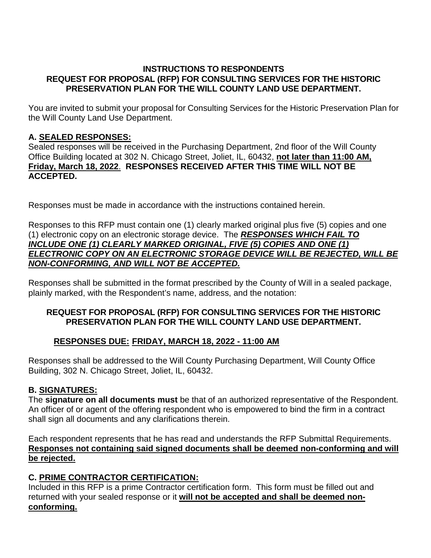### **INSTRUCTIONS TO RESPONDENTS REQUEST FOR PROPOSAL (RFP) FOR CONSULTING SERVICES FOR THE HISTORIC PRESERVATION PLAN FOR THE WILL COUNTY LAND USE DEPARTMENT.**

You are invited to submit your proposal for Consulting Services for the Historic Preservation Plan for the Will County Land Use Department.

### **A. SEALED RESPONSES:**

Sealed responses will be received in the Purchasing Department, 2nd floor of the Will County Office Building located at 302 N. Chicago Street, Joliet, IL, 60432, **not later than 11:00 AM, Friday, March 18, 2022**. **RESPONSES RECEIVED AFTER THIS TIME WILL NOT BE ACCEPTED.**

Responses must be made in accordance with the instructions contained herein.

Responses to this RFP must contain one (1) clearly marked original plus five (5) copies and one (1) electronic copy on an electronic storage device. The *RESPONSES WHICH FAIL TO INCLUDE ONE (1) CLEARLY MARKED ORIGINAL, FIVE (5) COPIES AND ONE (1) ELECTRONIC COPY ON AN ELECTRONIC STORAGE DEVICE WILL BE REJECTED, WILL BE NON-CONFORMING, AND WILL NOT BE ACCEPTED.*

Responses shall be submitted in the format prescribed by the County of Will in a sealed package, plainly marked, with the Respondent's name, address, and the notation:

### **REQUEST FOR PROPOSAL (RFP) FOR CONSULTING SERVICES FOR THE HISTORIC PRESERVATION PLAN FOR THE WILL COUNTY LAND USE DEPARTMENT.**

### **RESPONSES DUE: FRIDAY, MARCH 18, 2022 - 11:00 AM**

Responses shall be addressed to the Will County Purchasing Department, Will County Office Building, 302 N. Chicago Street, Joliet, IL, 60432.

### **B. SIGNATURES:**

The **signature on all documents must** be that of an authorized representative of the Respondent. An officer of or agent of the offering respondent who is empowered to bind the firm in a contract shall sign all documents and any clarifications therein.

Each respondent represents that he has read and understands the RFP Submittal Requirements. **Responses not containing said signed documents shall be deemed non-conforming and will be rejected.**

### **C. PRIME CONTRACTOR CERTIFICATION:**

Included in this RFP is a prime Contractor certification form. This form must be filled out and returned with your sealed response or it **will not be accepted and shall be deemed nonconforming.**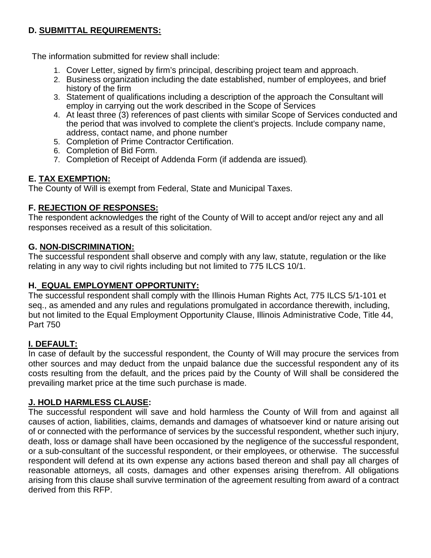### **D. SUBMITTAL REQUIREMENTS:**

The information submitted for review shall include:

- 1. Cover Letter, signed by firm's principal, describing project team and approach.
- 2. Business organization including the date established, number of employees, and brief history of the firm
- 3. Statement of qualifications including a description of the approach the Consultant will employ in carrying out the work described in the Scope of Services
- 4. At least three (3) references of past clients with similar Scope of Services conducted and the period that was involved to complete the client's projects. Include company name, address, contact name, and phone number
- 5. Completion of Prime Contractor Certification.
- 6. Completion of Bid Form.
- 7. Completion of Receipt of Addenda Form (if addenda are issued).

### **E. TAX EXEMPTION:**

The County of Will is exempt from Federal, State and Municipal Taxes.

### **F. REJECTION OF RESPONSES:**

The respondent acknowledges the right of the County of Will to accept and/or reject any and all responses received as a result of this solicitation.

### **G. NON-DISCRIMINATION:**

The successful respondent shall observe and comply with any law, statute, regulation or the like relating in any way to civil rights including but not limited to 775 ILCS 10/1.

### **H. EQUAL EMPLOYMENT OPPORTUNITY:**

The successful respondent shall comply with the Illinois Human Rights Act, 775 ILCS 5/1-101 et seq., as amended and any rules and regulations promulgated in accordance therewith, including, but not limited to the Equal Employment Opportunity Clause, Illinois Administrative Code, Title 44, Part 750

### **I. DEFAULT:**

In case of default by the successful respondent, the County of Will may procure the services from other sources and may deduct from the unpaid balance due the successful respondent any of its costs resulting from the default, and the prices paid by the County of Will shall be considered the prevailing market price at the time such purchase is made.

### **J. HOLD HARMLESS CLAUSE:**

The successful respondent will save and hold harmless the County of Will from and against all causes of action, liabilities, claims, demands and damages of whatsoever kind or nature arising out of or connected with the performance of services by the successful respondent, whether such injury, death, loss or damage shall have been occasioned by the negligence of the successful respondent, or a sub-consultant of the successful respondent, or their employees, or otherwise. The successful respondent will defend at its own expense any actions based thereon and shall pay all charges of reasonable attorneys, all costs, damages and other expenses arising therefrom. All obligations arising from this clause shall survive termination of the agreement resulting from award of a contract derived from this RFP.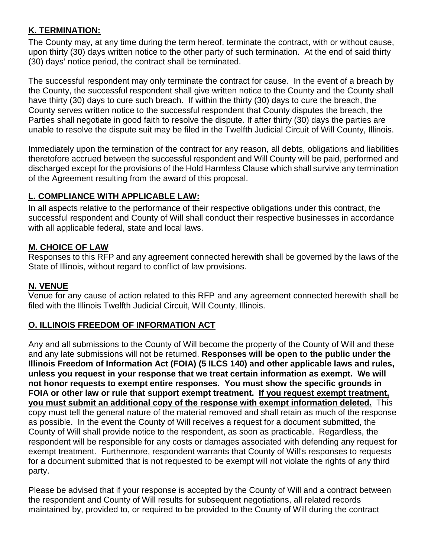### **K. TERMINATION:**

The County may, at any time during the term hereof, terminate the contract, with or without cause, upon thirty (30) days written notice to the other party of such termination. At the end of said thirty (30) days' notice period, the contract shall be terminated.

The successful respondent may only terminate the contract for cause. In the event of a breach by the County, the successful respondent shall give written notice to the County and the County shall have thirty (30) days to cure such breach. If within the thirty (30) days to cure the breach, the County serves written notice to the successful respondent that County disputes the breach, the Parties shall negotiate in good faith to resolve the dispute. If after thirty (30) days the parties are unable to resolve the dispute suit may be filed in the Twelfth Judicial Circuit of Will County, Illinois.

Immediately upon the termination of the contract for any reason, all debts, obligations and liabilities theretofore accrued between the successful respondent and Will County will be paid, performed and discharged except for the provisions of the Hold Harmless Clause which shall survive any termination of the Agreement resulting from the award of this proposal.

### **L. COMPLIANCE WITH APPLICABLE LAW:**

In all aspects relative to the performance of their respective obligations under this contract, the successful respondent and County of Will shall conduct their respective businesses in accordance with all applicable federal, state and local laws.

### **M. CHOICE OF LAW**

Responses to this RFP and any agreement connected herewith shall be governed by the laws of the State of Illinois, without regard to conflict of law provisions.

### **N. VENUE**

Venue for any cause of action related to this RFP and any agreement connected herewith shall be filed with the Illinois Twelfth Judicial Circuit, Will County, Illinois.

### **O. ILLINOIS FREEDOM OF INFORMATION ACT**

Any and all submissions to the County of Will become the property of the County of Will and these and any late submissions will not be returned. **Responses will be open to the public under the Illinois Freedom of Information Act (FOIA) (5 ILCS 140) and other applicable laws and rules, unless you request in your response that we treat certain information as exempt. We will not honor requests to exempt entire responses. You must show the specific grounds in FOIA or other law or rule that support exempt treatment. If you request exempt treatment, you must submit an additional copy of the response with exempt information deleted.** This copy must tell the general nature of the material removed and shall retain as much of the response as possible. In the event the County of Will receives a request for a document submitted, the County of Will shall provide notice to the respondent, as soon as practicable. Regardless, the respondent will be responsible for any costs or damages associated with defending any request for exempt treatment. Furthermore, respondent warrants that County of Will's responses to requests for a document submitted that is not requested to be exempt will not violate the rights of any third party.

Please be advised that if your response is accepted by the County of Will and a contract between the respondent and County of Will results for subsequent negotiations, all related records maintained by, provided to, or required to be provided to the County of Will during the contract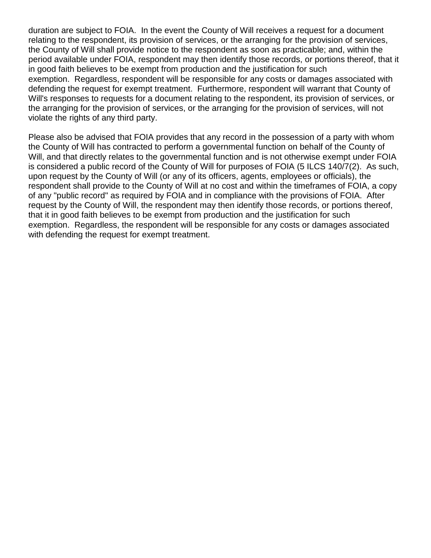duration are subject to FOIA. In the event the County of Will receives a request for a document relating to the respondent, its provision of services, or the arranging for the provision of services, the County of Will shall provide notice to the respondent as soon as practicable; and, within the period available under FOIA, respondent may then identify those records, or portions thereof, that it in good faith believes to be exempt from production and the justification for such exemption. Regardless, respondent will be responsible for any costs or damages associated with defending the request for exempt treatment. Furthermore, respondent will warrant that County of Will's responses to requests for a document relating to the respondent, its provision of services, or the arranging for the provision of services, or the arranging for the provision of services, will not violate the rights of any third party.

Please also be advised that FOIA provides that any record in the possession of a party with whom the County of Will has contracted to perform a governmental function on behalf of the County of Will, and that directly relates to the governmental function and is not otherwise exempt under FOIA is considered a public record of the County of Will for purposes of FOIA (5 ILCS 140/7(2). As such, upon request by the County of Will (or any of its officers, agents, employees or officials), the respondent shall provide to the County of Will at no cost and within the timeframes of FOIA, a copy of any "public record" as required by FOIA and in compliance with the provisions of FOIA. After request by the County of Will, the respondent may then identify those records, or portions thereof, that it in good faith believes to be exempt from production and the justification for such exemption. Regardless, the respondent will be responsible for any costs or damages associated with defending the request for exempt treatment.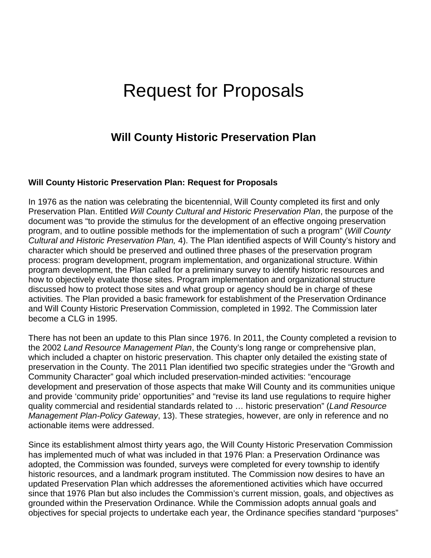# Request for Proposals

### **Will County Historic Preservation Plan**

### **Will County Historic Preservation Plan: Request for Proposals**

In 1976 as the nation was celebrating the bicentennial, Will County completed its first and only Preservation Plan. Entitled *Will County Cultural and Historic Preservation Plan*, the purpose of the document was "to provide the stimulus for the development of an effective ongoing preservation program, and to outline possible methods for the implementation of such a program" (*Will County Cultural and Historic Preservation Plan,* 4). The Plan identified aspects of Will County's history and character which should be preserved and outlined three phases of the preservation program process: program development, program implementation, and organizational structure. Within program development, the Plan called for a preliminary survey to identify historic resources and how to objectively evaluate those sites. Program implementation and organizational structure discussed how to protect those sites and what group or agency should be in charge of these activities. The Plan provided a basic framework for establishment of the Preservation Ordinance and Will County Historic Preservation Commission, completed in 1992. The Commission later become a CLG in 1995.

There has not been an update to this Plan since 1976. In 2011, the County completed a revision to the 2002 *Land Resource Management Plan*, the County's long range or comprehensive plan, which included a chapter on historic preservation. This chapter only detailed the existing state of preservation in the County. The 2011 Plan identified two specific strategies under the "Growth and Community Character" goal which included preservation-minded activities: "encourage development and preservation of those aspects that make Will County and its communities unique and provide 'community pride' opportunities" and "revise its land use regulations to require higher quality commercial and residential standards related to … historic preservation" (*Land Resource Management Plan-Policy Gateway*, 13). These strategies, however, are only in reference and no actionable items were addressed.

Since its establishment almost thirty years ago, the Will County Historic Preservation Commission has implemented much of what was included in that 1976 Plan: a Preservation Ordinance was adopted, the Commission was founded, surveys were completed for every township to identify historic resources, and a landmark program instituted. The Commission now desires to have an updated Preservation Plan which addresses the aforementioned activities which have occurred since that 1976 Plan but also includes the Commission's current mission, goals, and objectives as grounded within the Preservation Ordinance. While the Commission adopts annual goals and objectives for special projects to undertake each year, the Ordinance specifies standard "purposes"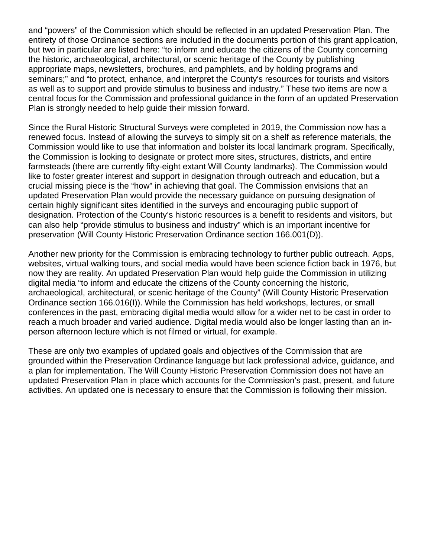and "powers" of the Commission which should be reflected in an updated Preservation Plan. The entirety of those Ordinance sections are included in the documents portion of this grant application, but two in particular are listed here: "to inform and educate the citizens of the County concerning the historic, archaeological, architectural, or scenic heritage of the County by publishing appropriate maps, newsletters, brochures, and pamphlets, and by holding programs and seminars;" and "to protect, enhance, and interpret the County's resources for tourists and visitors as well as to support and provide stimulus to business and industry." These two items are now a central focus for the Commission and professional guidance in the form of an updated Preservation Plan is strongly needed to help guide their mission forward.

Since the Rural Historic Structural Surveys were completed in 2019, the Commission now has a renewed focus. Instead of allowing the surveys to simply sit on a shelf as reference materials, the Commission would like to use that information and bolster its local landmark program. Specifically, the Commission is looking to designate or protect more sites, structures, districts, and entire farmsteads (there are currently fifty-eight extant Will County landmarks). The Commission would like to foster greater interest and support in designation through outreach and education, but a crucial missing piece is the "how" in achieving that goal. The Commission envisions that an updated Preservation Plan would provide the necessary guidance on pursuing designation of certain highly significant sites identified in the surveys and encouraging public support of designation. Protection of the County's historic resources is a benefit to residents and visitors, but can also help "provide stimulus to business and industry" which is an important incentive for preservation (Will County Historic Preservation Ordinance section 166.001(D)).

Another new priority for the Commission is embracing technology to further public outreach. Apps, websites, virtual walking tours, and social media would have been science fiction back in 1976, but now they are reality. An updated Preservation Plan would help guide the Commission in utilizing digital media "to inform and educate the citizens of the County concerning the historic, archaeological, architectural, or scenic heritage of the County" (Will County Historic Preservation Ordinance section 166.016(I)). While the Commission has held workshops, lectures, or small conferences in the past, embracing digital media would allow for a wider net to be cast in order to reach a much broader and varied audience. Digital media would also be longer lasting than an inperson afternoon lecture which is not filmed or virtual, for example.

These are only two examples of updated goals and objectives of the Commission that are grounded within the Preservation Ordinance language but lack professional advice, guidance, and a plan for implementation. The Will County Historic Preservation Commission does not have an updated Preservation Plan in place which accounts for the Commission's past, present, and future activities. An updated one is necessary to ensure that the Commission is following their mission.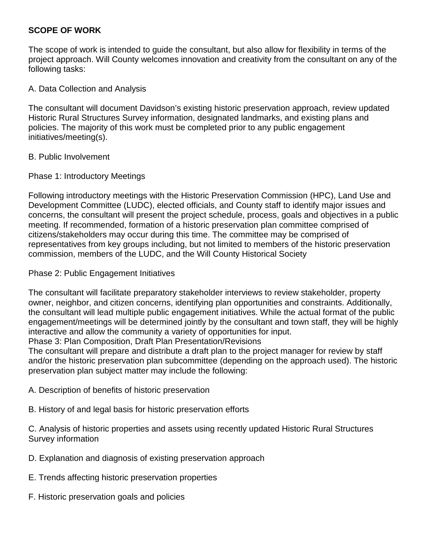### **SCOPE OF WORK**

The scope of work is intended to guide the consultant, but also allow for flexibility in terms of the project approach. Will County welcomes innovation and creativity from the consultant on any of the following tasks:

### A. Data Collection and Analysis

The consultant will document Davidson's existing historic preservation approach, review updated Historic Rural Structures Survey information, designated landmarks, and existing plans and policies. The majority of this work must be completed prior to any public engagement initiatives/meeting(s).

### B. Public Involvement

### Phase 1: Introductory Meetings

Following introductory meetings with the Historic Preservation Commission (HPC), Land Use and Development Committee (LUDC), elected officials, and County staff to identify major issues and concerns, the consultant will present the project schedule, process, goals and objectives in a public meeting. If recommended, formation of a historic preservation plan committee comprised of citizens/stakeholders may occur during this time. The committee may be comprised of representatives from key groups including, but not limited to members of the historic preservation commission, members of the LUDC, and the Will County Historical Society

### Phase 2: Public Engagement Initiatives

The consultant will facilitate preparatory stakeholder interviews to review stakeholder, property owner, neighbor, and citizen concerns, identifying plan opportunities and constraints. Additionally, the consultant will lead multiple public engagement initiatives. While the actual format of the public engagement/meetings will be determined jointly by the consultant and town staff, they will be highly interactive and allow the community a variety of opportunities for input.

Phase 3: Plan Composition, Draft Plan Presentation/Revisions

The consultant will prepare and distribute a draft plan to the project manager for review by staff and/or the historic preservation plan subcommittee (depending on the approach used). The historic preservation plan subject matter may include the following:

- A. Description of benefits of historic preservation
- B. History of and legal basis for historic preservation efforts

C. Analysis of historic properties and assets using recently updated Historic Rural Structures Survey information

- D. Explanation and diagnosis of existing preservation approach
- E. Trends affecting historic preservation properties
- F. Historic preservation goals and policies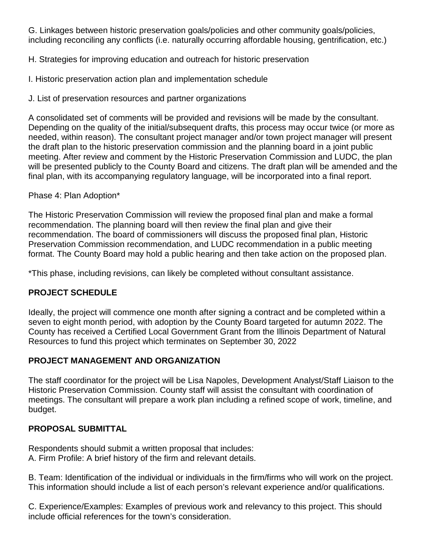G. Linkages between historic preservation goals/policies and other community goals/policies, including reconciling any conflicts (i.e. naturally occurring affordable housing, gentrification, etc.)

H. Strategies for improving education and outreach for historic preservation

I. Historic preservation action plan and implementation schedule

J. List of preservation resources and partner organizations

A consolidated set of comments will be provided and revisions will be made by the consultant. Depending on the quality of the initial/subsequent drafts, this process may occur twice (or more as needed, within reason). The consultant project manager and/or town project manager will present the draft plan to the historic preservation commission and the planning board in a joint public meeting. After review and comment by the Historic Preservation Commission and LUDC, the plan will be presented publicly to the County Board and citizens. The draft plan will be amended and the final plan, with its accompanying regulatory language, will be incorporated into a final report.

### Phase 4: Plan Adoption\*

The Historic Preservation Commission will review the proposed final plan and make a formal recommendation. The planning board will then review the final plan and give their recommendation. The board of commissioners will discuss the proposed final plan, Historic Preservation Commission recommendation, and LUDC recommendation in a public meeting format. The County Board may hold a public hearing and then take action on the proposed plan.

\*This phase, including revisions, can likely be completed without consultant assistance.

### **PROJECT SCHEDULE**

Ideally, the project will commence one month after signing a contract and be completed within a seven to eight month period, with adoption by the County Board targeted for autumn 2022. The County has received a Certified Local Government Grant from the Illinois Department of Natural Resources to fund this project which terminates on September 30, 2022

### **PROJECT MANAGEMENT AND ORGANIZATION**

The staff coordinator for the project will be Lisa Napoles, Development Analyst/Staff Liaison to the Historic Preservation Commission. County staff will assist the consultant with coordination of meetings. The consultant will prepare a work plan including a refined scope of work, timeline, and budget.

### **PROPOSAL SUBMITTAL**

Respondents should submit a written proposal that includes: A. Firm Profile: A brief history of the firm and relevant details.

B. Team: Identification of the individual or individuals in the firm/firms who will work on the project. This information should include a list of each person's relevant experience and/or qualifications.

C. Experience/Examples: Examples of previous work and relevancy to this project. This should include official references for the town's consideration.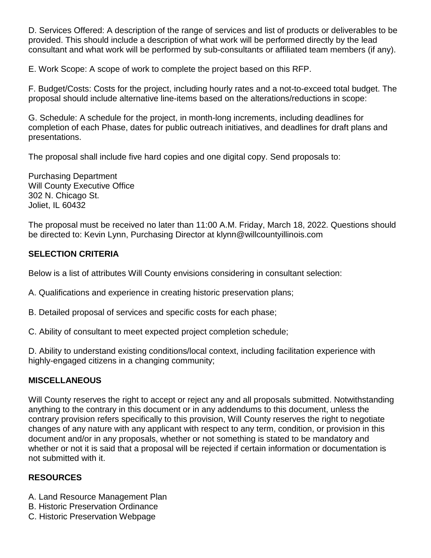D. Services Offered: A description of the range of services and list of products or deliverables to be provided. This should include a description of what work will be performed directly by the lead consultant and what work will be performed by sub-consultants or affiliated team members (if any).

E. Work Scope: A scope of work to complete the project based on this RFP.

F. Budget/Costs: Costs for the project, including hourly rates and a not-to-exceed total budget. The proposal should include alternative line-items based on the alterations/reductions in scope:

G. Schedule: A schedule for the project, in month-long increments, including deadlines for completion of each Phase, dates for public outreach initiatives, and deadlines for draft plans and presentations.

The proposal shall include five hard copies and one digital copy. Send proposals to:

Purchasing Department Will County Executive Office 302 N. Chicago St. Joliet, IL 60432

The proposal must be received no later than 11:00 A.M. Friday, March 18, 2022. Questions should be directed to: Kevin Lynn, Purchasing Director at klynn@willcountyillinois.com

### **SELECTION CRITERIA**

Below is a list of attributes Will County envisions considering in consultant selection:

A. Qualifications and experience in creating historic preservation plans;

- B. Detailed proposal of services and specific costs for each phase;
- C. Ability of consultant to meet expected project completion schedule;

D. Ability to understand existing conditions/local context, including facilitation experience with highly-engaged citizens in a changing community;

### **MISCELLANEOUS**

Will County reserves the right to accept or reject any and all proposals submitted. Notwithstanding anything to the contrary in this document or in any addendums to this document, unless the contrary provision refers specifically to this provision, Will County reserves the right to negotiate changes of any nature with any applicant with respect to any term, condition, or provision in this document and/or in any proposals, whether or not something is stated to be mandatory and whether or not it is said that a proposal will be rejected if certain information or documentation is not submitted with it.

### **RESOURCES**

- A. Land Resource Management Plan
- B. Historic Preservation Ordinance
- C. Historic Preservation Webpage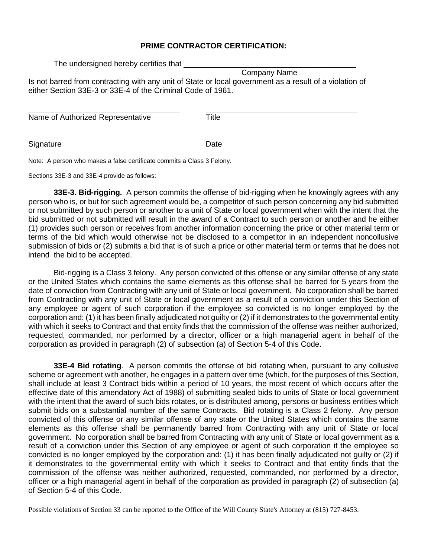#### **PRIME CONTRACTOR CERTIFICATION:**

The undersigned hereby certifies that

 Company Name Is not barred from contracting with any unit of State or local government as a result of a violation of either Section 33E-3 or 33E-4 of the Criminal Code of 1961.

| Name of Authorized Representative | Title |
|-----------------------------------|-------|
|                                   |       |
| Signature                         | Date  |

Note: A person who makes a false certificate commits a Class 3 Felony.

Sections 33E-3 and 33E-4 provide as follows:

**33E-3. Bid-rigging.** A person commits the offense of bid-rigging when he knowingly agrees with any person who is, or but for such agreement would be, a competitor of such person concerning any bid submitted or not submitted by such person or another to a unit of State or local government when with the intent that the bid submitted or not submitted will result in the award of a Contract to such person or another and he either (1) provides such person or receives from another information concerning the price or other material term or terms of the bid which would otherwise not be disclosed to a competitor in an independent noncollusive submission of bids or (2) submits a bid that is of such a price or other material term or terms that he does not intend the bid to be accepted.

Bid-rigging is a Class 3 felony. Any person convicted of this offense or any similar offense of any state or the United States which contains the same elements as this offense shall be barred for 5 years from the date of conviction from Contracting with any unit of State or local government. No corporation shall be barred from Contracting with any unit of State or local government as a result of a conviction under this Section of any employee or agent of such corporation if the employee so convicted is no longer employed by the corporation and: (1) it has been finally adjudicated not guilty or (2) if it demonstrates to the governmental entity with which it seeks to Contract and that entity finds that the commission of the offense was neither authorized, requested, commanded, nor performed by a director, officer or a high managerial agent in behalf of the corporation as provided in paragraph (2) of subsection (a) of Section 5-4 of this Code.

**33E-4 Bid rotating**. A person commits the offense of bid rotating when, pursuant to any collusive scheme or agreement with another, he engages in a pattern over time (which, for the purposes of this Section, shall include at least 3 Contract bids within a period of 10 years, the most recent of which occurs after the effective date of this amendatory Act of 1988) of submitting sealed bids to units of State or local government with the intent that the award of such bids rotates, or is distributed among, persons or business entities which submit bids on a substantial number of the same Contracts. Bid rotating is a Class 2 felony. Any person convicted of this offense or any similar offense of any state or the United States which contains the same elements as this offense shall be permanently barred from Contracting with any unit of State or local government. No corporation shall be barred from Contracting with any unit of State or local government as a result of a conviction under this Section of any employee or agent of such corporation if the employee so convicted is no longer employed by the corporation and: (1) it has been finally adjudicated not guilty or (2) if it demonstrates to the governmental entity with which it seeks to Contract and that entity finds that the commission of the offense was neither authorized, requested, commanded, nor performed by a director, officer or a high managerial agent in behalf of the corporation as provided in paragraph (2) of subsection (a) of Section 5-4 of this Code.

Possible violations of Section 33 can be reported to the Office of the Will County State's Attorney at (815) 727-8453.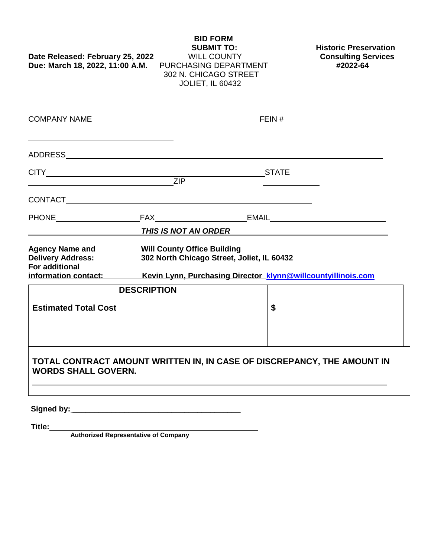## **BID FORM SUBMIT TO:** Historic Preservation<br>WILL COUNTY **Consulting Services Date Released: February 25, 2022 Due: March 18, 2022, 11:00 A.M.** PURCHASING DEPARTMENT **#2022-64** 302 N. CHICAGO STREET JOLIET, IL 60432 COMPANY NAME FEIN # ADDRESS CITY STATE ZIP CONTACT PHONE FAX EMAIL *THIS IS NOT AN ORDER* **Agency Name and Will County Office Building Delivery Address: 302 North Chicago Street, Joliet, IL 60432 For additional information contact: Kevin Lynn, Purchasing Director [klynn@willcountyillinois.com](mailto:klynn@willcountyillinois.com)  DESCRIPTION Estimated Total Cost**  $\qquad$  **\$ TOTAL CONTRACT AMOUNT WRITTEN IN, IN CASE OF DISCREPANCY, THE AMOUNT IN WORDS SHALL GOVERN.**

**Signed by: \_\_\_\_\_\_\_\_\_\_\_\_\_\_\_\_\_\_\_\_\_\_\_\_\_\_\_\_\_\_\_\_\_\_\_\_\_\_\_**

**Title: Authorized Representative of Company**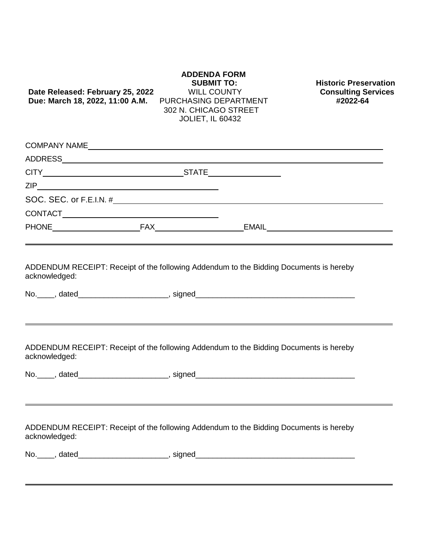## **SUBMIT TO:** Historic Preservation<br>WILL COUNTY **Consulting Services Date Released: February 25, 2022** WILL COUNTY **Consulting Service Service Service Service Service Service Service**<br>**Due: March 18. 2022. 11:00 A.M.** PURCHASING DEPARTMENT **FRUGGES Due: March 18, 2022, 11:00 A.M.**  302 N. CHICAGO STREET JOLIET, IL 60432 COMPANY NAME ADDRESS CITY STATE ZIP SOC. SEC. or F.E.I.N. # CONTACT PHONE FAX FAX EMAIL  ADDENDUM RECEIPT: Receipt of the following Addendum to the Bidding Documents is hereby acknowledged: No.\_\_\_\_, dated\_\_\_\_\_\_\_\_\_\_\_\_\_\_\_\_\_\_\_\_\_, signed\_\_\_\_\_\_\_\_\_\_\_\_\_\_\_\_\_\_\_\_\_\_\_\_\_\_\_\_\_\_\_\_\_\_\_\_\_  ADDENDUM RECEIPT: Receipt of the following Addendum to the Bidding Documents is hereby acknowledged: No.\_\_\_\_, dated\_\_\_\_\_\_\_\_\_\_\_\_\_\_\_\_\_\_\_\_\_, signed\_\_\_\_\_\_\_\_\_\_\_\_\_\_\_\_\_\_\_\_\_\_\_\_\_\_\_\_\_\_\_\_\_\_\_\_\_  ADDENDUM RECEIPT: Receipt of the following Addendum to the Bidding Documents is hereby acknowledged: No. absolute the state of the state of the state of the state of the state of the state of the state of the state of the state of the state of the state of the state of the state of the state of the state of the state of t

**ADDENDA FORM**